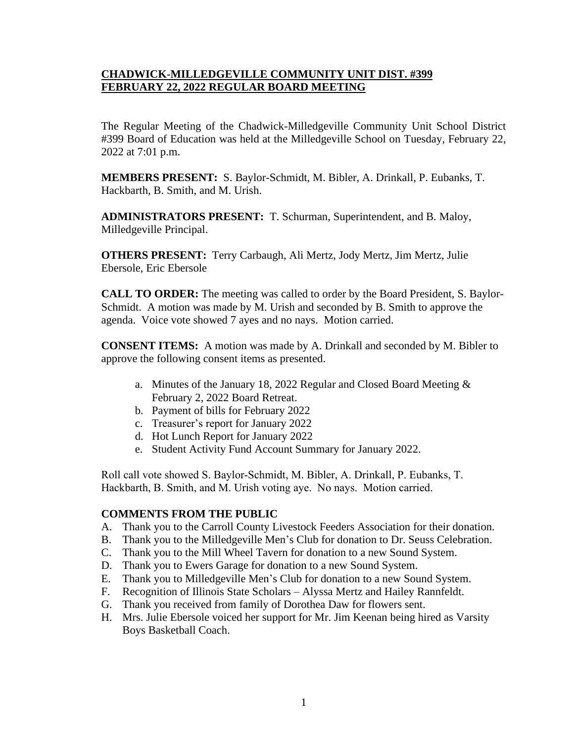#### **CHADWICK-MILLEDGEVILLE COMMUNITY UNIT DIST. #399 FEBRUARY 22, 2022 REGULAR BOARD MEETING**

The Regular Meeting of the Chadwick-Milledgeville Community Unit School District #399 Board of Education was held at the Milledgeville School on Tuesday, February 22, 2022 at 7:01 p.m.

**MEMBERS PRESENT:** S. Baylor-Schmidt, M. Bibler, A. Drinkall, P. Eubanks, T. Hackbarth, B. Smith, and M. Urish.

**ADMINISTRATORS PRESENT:** T. Schurman, Superintendent, and B. Maloy, Milledgeville Principal.

**OTHERS PRESENT:** Terry Carbaugh, Ali Mertz, Jody Mertz, Jim Mertz, Julie Ebersole, Eric Ebersole

**CALL TO ORDER:** The meeting was called to order by the Board President, S. Baylor-Schmidt. A motion was made by M. Urish and seconded by B. Smith to approve the agenda. Voice vote showed 7 ayes and no nays. Motion carried.

**CONSENT ITEMS:** A motion was made by A. Drinkall and seconded by M. Bibler to approve the following consent items as presented.

- a. Minutes of the January 18, 2022 Regular and Closed Board Meeting & February 2, 2022 Board Retreat.
- b. Payment of bills for February 2022
- c. Treasurer's report for January 2022
- d. Hot Lunch Report for January 2022
- e. Student Activity Fund Account Summary for January 2022.

Roll call vote showed S. Baylor-Schmidt, M. Bibler, A. Drinkall, P. Eubanks, T. Hackbarth, B. Smith, and M. Urish voting aye. No nays. Motion carried.

#### **COMMENTS FROM THE PUBLIC**

- A. Thank you to the Carroll County Livestock Feeders Association for their donation.
- B. Thank you to the Milledgeville Men's Club for donation to Dr. Seuss Celebration.
- C. Thank you to the Mill Wheel Tavern for donation to a new Sound System.
- D. Thank you to Ewers Garage for donation to a new Sound System.
- E. Thank you to Milledgeville Men's Club for donation to a new Sound System.
- F. Recognition of Illinois State Scholars Alyssa Mertz and Hailey Rannfeldt.
- G. Thank you received from family of Dorothea Daw for flowers sent.
- H. Mrs. Julie Ebersole voiced her support for Mr. Jim Keenan being hired as Varsity Boys Basketball Coach.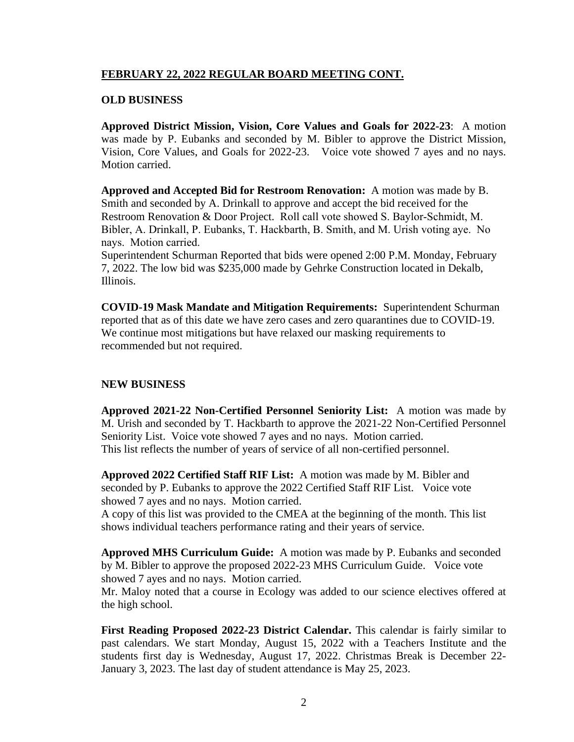## **FEBRUARY 22, 2022 REGULAR BOARD MEETING CONT.**

### **OLD BUSINESS**

**Approved District Mission, Vision, Core Values and Goals for 2022-23**: A motion was made by P. Eubanks and seconded by M. Bibler to approve the District Mission, Vision, Core Values, and Goals for 2022-23. Voice vote showed 7 ayes and no nays. Motion carried.

**Approved and Accepted Bid for Restroom Renovation:** A motion was made by B. Smith and seconded by A. Drinkall to approve and accept the bid received for the Restroom Renovation & Door Project. Roll call vote showed S. Baylor-Schmidt, M. Bibler, A. Drinkall, P. Eubanks, T. Hackbarth, B. Smith, and M. Urish voting aye. No nays. Motion carried.

Superintendent Schurman Reported that bids were opened 2:00 P.M. Monday, February 7, 2022. The low bid was \$235,000 made by Gehrke Construction located in Dekalb, Illinois.

**COVID-19 Mask Mandate and Mitigation Requirements:** Superintendent Schurman reported that as of this date we have zero cases and zero quarantines due to COVID-19. We continue most mitigations but have relaxed our masking requirements to recommended but not required.

## **NEW BUSINESS**

**Approved 2021-22 Non-Certified Personnel Seniority List:** A motion was made by M. Urish and seconded by T. Hackbarth to approve the 2021-22 Non-Certified Personnel Seniority List. Voice vote showed 7 ayes and no nays. Motion carried. This list reflects the number of years of service of all non-certified personnel.

**Approved 2022 Certified Staff RIF List:** A motion was made by M. Bibler and seconded by P. Eubanks to approve the 2022 Certified Staff RIF List. Voice vote showed 7 ayes and no nays. Motion carried.

A copy of this list was provided to the CMEA at the beginning of the month. This list shows individual teachers performance rating and their years of service.

**Approved MHS Curriculum Guide:** A motion was made by P. Eubanks and seconded by M. Bibler to approve the proposed 2022-23 MHS Curriculum Guide. Voice vote showed 7 ayes and no nays. Motion carried.

Mr. Maloy noted that a course in Ecology was added to our science electives offered at the high school.

**First Reading Proposed 2022-23 District Calendar.** This calendar is fairly similar to past calendars. We start Monday, August 15, 2022 with a Teachers Institute and the students first day is Wednesday, August 17, 2022. Christmas Break is December 22- January 3, 2023. The last day of student attendance is May 25, 2023.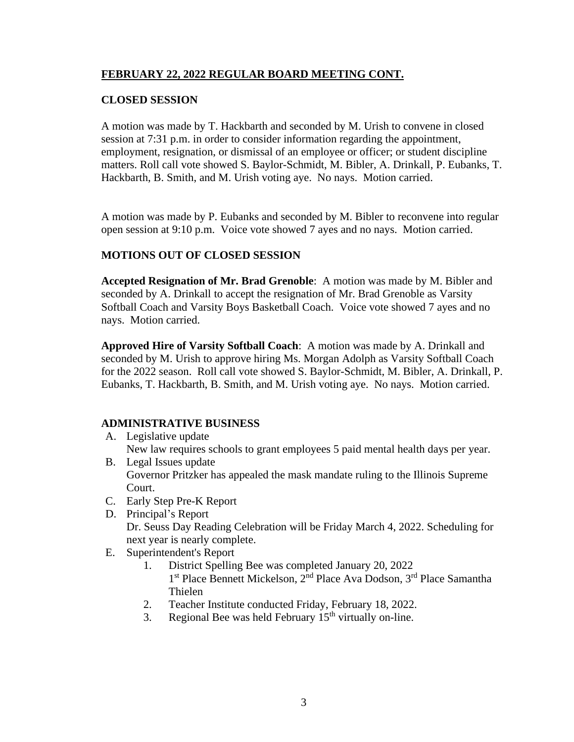## **FEBRUARY 22, 2022 REGULAR BOARD MEETING CONT.**

## **CLOSED SESSION**

A motion was made by T. Hackbarth and seconded by M. Urish to convene in closed session at 7:31 p.m. in order to consider information regarding the appointment, employment, resignation, or dismissal of an employee or officer; or student discipline matters. Roll call vote showed S. Baylor-Schmidt, M. Bibler, A. Drinkall, P. Eubanks, T. Hackbarth, B. Smith, and M. Urish voting aye. No nays. Motion carried.

A motion was made by P. Eubanks and seconded by M. Bibler to reconvene into regular open session at 9:10 p.m. Voice vote showed 7 ayes and no nays. Motion carried.

## **MOTIONS OUT OF CLOSED SESSION**

**Accepted Resignation of Mr. Brad Grenoble**: A motion was made by M. Bibler and seconded by A. Drinkall to accept the resignation of Mr. Brad Grenoble as Varsity Softball Coach and Varsity Boys Basketball Coach. Voice vote showed 7 ayes and no nays. Motion carried.

**Approved Hire of Varsity Softball Coach**: A motion was made by A. Drinkall and seconded by M. Urish to approve hiring Ms. Morgan Adolph as Varsity Softball Coach for the 2022 season. Roll call vote showed S. Baylor-Schmidt, M. Bibler, A. Drinkall, P. Eubanks, T. Hackbarth, B. Smith, and M. Urish voting aye. No nays. Motion carried.

# **ADMINISTRATIVE BUSINESS**

A. Legislative update

New law requires schools to grant employees 5 paid mental health days per year.

- B. Legal Issues update Governor Pritzker has appealed the mask mandate ruling to the Illinois Supreme Court.
- C. Early Step Pre-K Report
- D. Principal's Report Dr. Seuss Day Reading Celebration will be Friday March 4, 2022. Scheduling for next year is nearly complete.
- E. Superintendent's Report
	- 1. District Spelling Bee was completed January 20, 2022
		- 1<sup>st</sup> Place Bennett Mickelson, 2<sup>nd</sup> Place Ava Dodson, 3<sup>rd</sup> Place Samantha Thielen
	- 2. Teacher Institute conducted Friday, February 18, 2022.
	- 3. Regional Bee was held February  $15<sup>th</sup>$  virtually on-line.